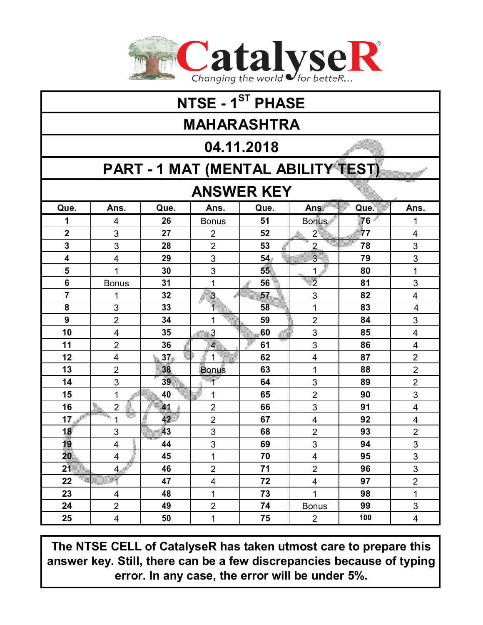

| NTSE - 1 <sup>ST</sup> PHASE       |                          |                 |                         |                 |                         |      |                         |  |  |  |  |  |  |
|------------------------------------|--------------------------|-----------------|-------------------------|-----------------|-------------------------|------|-------------------------|--|--|--|--|--|--|
| <b>MAHARASHTRA</b>                 |                          |                 |                         |                 |                         |      |                         |  |  |  |  |  |  |
| 04.11.2018                         |                          |                 |                         |                 |                         |      |                         |  |  |  |  |  |  |
| PART - 1 MAT (MENTAL ABILITY TEST) |                          |                 |                         |                 |                         |      |                         |  |  |  |  |  |  |
| <b>ANSWER KEY</b>                  |                          |                 |                         |                 |                         |      |                         |  |  |  |  |  |  |
| Que.                               | Ans.                     | Que.            | Ans.                    | Que.            | Ans.                    | Que. | Ans.                    |  |  |  |  |  |  |
| 1                                  | 4                        | 26              | <b>Bonus</b>            | 51              | <b>Bonus</b>            | 76   | 1                       |  |  |  |  |  |  |
| $\overline{2}$                     | 3                        | 27              | $\overline{2}$          | 52              | $\mathbf{2}^{\circ}$    | 77   | 4                       |  |  |  |  |  |  |
| 3                                  | 3                        | 28              | $\overline{2}$          | 53              | $\overline{2}$          | 78   | 3                       |  |  |  |  |  |  |
| $\overline{\mathbf{4}}$            | 4                        | 29              | 3                       | 54 <sub>°</sub> | $\overline{3}$          | 79   | 3                       |  |  |  |  |  |  |
| 5                                  | $\overline{1}$           | 30              | 3                       | 55              | $\mathbf{1}$            | 80   | 1                       |  |  |  |  |  |  |
| 6                                  | <b>Bonus</b>             | 31              | $\mathbf 1$             | 56              | $\overline{2}$          | 81   | 3                       |  |  |  |  |  |  |
| $\overline{7}$                     | 1                        | 32              | 3                       | 57              | 3                       | 82   | $\overline{4}$          |  |  |  |  |  |  |
| 8                                  | 3                        | 33              | ₹                       | 58              | 1                       | 83   | $\overline{\mathbf{4}}$ |  |  |  |  |  |  |
| $\boldsymbol{9}$                   | $\overline{2}$           | 34              | 1                       | 59              | $\overline{2}$          | 84   | 3                       |  |  |  |  |  |  |
| 10                                 | $\overline{\mathbf{4}}$  | 35              | 3                       | 60              | 3                       | 85   | $\overline{4}$          |  |  |  |  |  |  |
| 11                                 | $\overline{2}$           | 36              | $\overline{\mathbf{4}}$ | 61              | 3                       | 86   | 4                       |  |  |  |  |  |  |
| 12                                 | 4                        | 37 <sub>o</sub> | 1                       | 62              | $\overline{\mathbf{4}}$ | 87   | $\overline{2}$          |  |  |  |  |  |  |
| 13                                 | $\overline{2}$           | 38              | <b>Bonus</b>            | 63              | 1                       | 88   | $\overline{2}$          |  |  |  |  |  |  |
| 14                                 | 3                        | 39              |                         | 64              | 3                       | 89   | $\overline{2}$          |  |  |  |  |  |  |
| 15                                 | 1                        | 40              | 1                       | 65              | $\overline{2}$          | 90   | 3                       |  |  |  |  |  |  |
| 16                                 | $\overline{2}$           | 41              | $\overline{2}$          | 66              | 3                       | 91   | 4                       |  |  |  |  |  |  |
| 17                                 | 1                        | 42              | $\overline{2}$          | 67              | $\overline{\mathbf{4}}$ | 92   | 4                       |  |  |  |  |  |  |
| 18                                 | 3                        | 43              | 3                       | 68              | $\overline{2}$          | 93   | $\overline{2}$          |  |  |  |  |  |  |
| 19                                 | 4                        | 44              | 3                       | 69              | 3                       | 94   | 3                       |  |  |  |  |  |  |
| 20                                 | 4                        | 45              | 1                       | 70              | 4                       | 95   | 3                       |  |  |  |  |  |  |
| 21                                 | $\overline{4}$           | 46              | $\overline{2}$          | 71              | $\overline{2}$          | 96   | 3                       |  |  |  |  |  |  |
| 22                                 | $\overline{\mathcal{L}}$ | 47              | $\overline{\mathbf{4}}$ | 72              | $\overline{4}$          | 97   | $\overline{c}$          |  |  |  |  |  |  |
| 23                                 | $\overline{\mathbf{4}}$  | 48              | $\mathbf{1}$            | 73              | $\mathbf{1}$            | 98   | $\mathbf{1}$            |  |  |  |  |  |  |
| 24                                 | $\overline{2}$           | 49              | $\overline{2}$          | 74              | <b>Bonus</b>            | 99   | 3                       |  |  |  |  |  |  |
| 25                                 | $\overline{\mathbf{4}}$  | 50              | 1                       | 75              | $\overline{2}$          | 100  | 4                       |  |  |  |  |  |  |

**The NTSE CELL of CatalyseR has taken utmost care to prepare this answer key. Still, there can be a few discrepancies because of typing error. In any case, the error will be under 5%.**